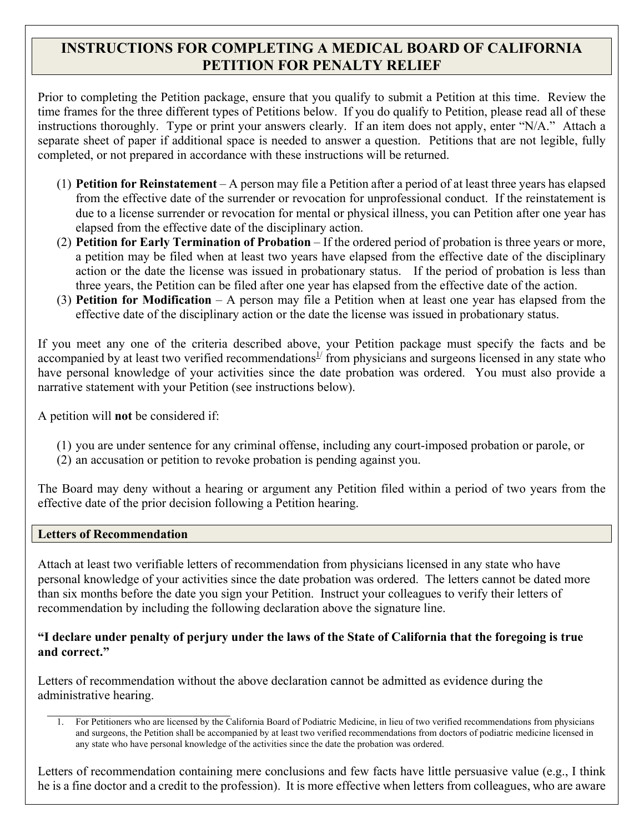# **INSTRUCTIONS FOR COMPLETING A MEDICAL BOARD OF CALIFORNIA PETITION FOR PENALTY RELIEF**

 instructions thoroughly. Type or print your answers clearly. If an item does not apply, enter "N/A." Attach a separate sheet of paper if additional space is needed to answer a question. Petitions that are not legible, fully Prior to completing the Petition package, ensure that you qualify to submit a Petition at this time. Review the time frames for the three different types of Petitions below. If you do qualify to Petition, please read all of these completed, or not prepared in accordance with these instructions will be returned.

- (1) **Petition for Reinstatement** A person may file a Petition after a period of at least three years has elapsed from the effective date of the surrender or revocation for unprofessional conduct. If the reinstatement is due to a license surrender or revocation for mental or physical illness, you can Petition after one year has elapsed from the effective date of the disciplinary action.
- a petition may be filed when at least two years have elapsed from the effective date of the disciplinary action or the date the license was issued in probationary status. If the period of probation is less than (2) **Petition for Early Termination of Probation** – If the ordered period of probation is three years or more, three years, the Petition can be filed after one year has elapsed from the effective date of the action.
- (3) **Petition for Modification**  A person may file a Petition when at least one year has elapsed from the effective date of the disciplinary action or the date the license was issued in probationary status.

If you meet any one of the criteria described above, your Petition package must specify the facts and be accompanied by at least two verified recommendations<sup>1/</sup> from physicians and surgeons licensed in any state who have personal knowledge of your activities since the date probation was ordered. You must also provide a narrative statement with your Petition (see instructions below).

A petition will **not** be considered if:

- (1) you are under sentence for any criminal offense, including any court-imposed probation or parole, or
- (2) an accusation or petition to revoke probation is pending against you.

The Board may deny without a hearing or argument any Petition filed within a period of two years from the effective date of the prior decision following a Petition hearing.

## **Letters of Recommendation**

Attach at least two verifiable letters of recommendation from physicians licensed in any state who have personal knowledge of your activities since the date probation was ordered. The letters cannot be dated more than six months before the date you sign your Petition. Instruct your colleagues to verify their letters of recommendation by including the following declaration above the signature line.

#### **"I declare under penalty of perjury under the laws of the State of California that the foregoing is true**  and correct."

Letters of recommendation without the above declaration cannot be admitted as evidence during the administrative hearing.

Letters of recommendation containing mere conclusions and few facts have little persuasive value (e.g., I think he is a fine doctor and a credit to the profession). It is more effective when letters from colleagues, who are aware

 1. For Petitioners who are licensed by the California Board of Podiatric Medicine, in lieu of two verified recommendations from physicians and surgeons, the Petition shall be accompanied by at least two verified recommendations from doctors of podiatric medicine licensed in any state who have personal knowledge of the activities since the date the probation was ordered.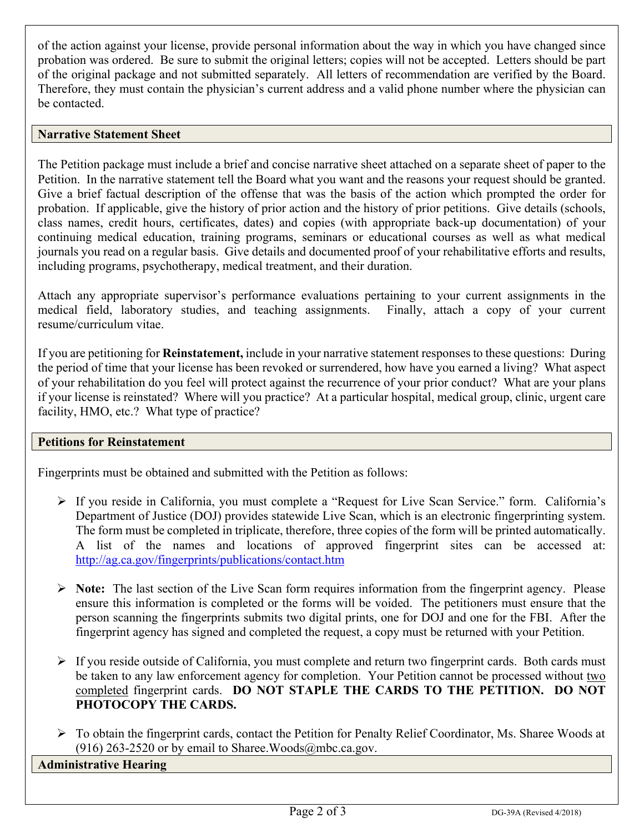of the action against your license, provide personal information about the way in which you have changed since probation was ordered. Be sure to submit the original letters; copies will not be accepted. Letters should be part of the original package and not submitted separately. All letters of recommendation are verified by the Board. Therefore, they must contain the physician's current address and a valid phone number where the physician can be contacted.

#### **Narrative Statement Sheet**

 Give a brief factual description of the offense that was the basis of the action which prompted the order for The Petition package must include a brief and concise narrative sheet attached on a separate sheet of paper to the Petition. In the narrative statement tell the Board what you want and the reasons your request should be granted. probation. If applicable, give the history of prior action and the history of prior petitions. Give details (schools, class names, credit hours, certificates, dates) and copies (with appropriate back-up documentation) of your continuing medical education, training programs, seminars or educational courses as well as what medical journals you read on a regular basis. Give details and documented proof of your rehabilitative efforts and results, including programs, psychotherapy, medical treatment, and their duration.

Attach any appropriate supervisor's performance evaluations pertaining to your current assignments in the medical field, laboratory studies, and teaching assignments. Finally, attach a copy of your current resume/curriculum vitae.

 the period of time that your license has been revoked or surrendered, how have you earned a living? What aspect if your license is reinstated? Where will you practice? At a particular hospital, medical group, clinic, urgent care If you are petitioning for **Reinstatement,** include in your narrative statement responses to these questions: During of your rehabilitation do you feel will protect against the recurrence of your prior conduct? What are your plans facility, HMO, etc.? What type of practice?

## **Petitions for Reinstatement**

Fingerprints must be obtained and submitted with the Petition as follows:

- The form must be completed in triplicate, therefore, three copies of the form will be printed automatically.  $\triangleright$  If you reside in California, you must complete a "Request for Live Scan Service." form. California's Department of Justice (DOJ) provides statewide Live Scan, which is an electronic fingerprinting system. A list of the names and locations of approved fingerprint sites can be accessed at: <http://ag.ca.gov/fingerprints/publications/contact.htm>
- **Note:** The last section of the Live Scan form requires information from the fingerprint agency. Please person scanning the fingerprints submits two digital prints, one for DOJ and one for the FBI. After the ensure this information is completed or the forms will be voided. The petitioners must ensure that the fingerprint agency has signed and completed the request, a copy must be returned with your Petition.
- $\triangleright$  If you reside outside of California, you must complete and return two fingerprint cards. Both cards must be taken to any law enforcement agency for completion. Your Petition cannot be processed without two completed fingerprint cards. **DO NOT STAPLE THE CARDS TO THE PETITION. DO NOT PHOTOCOPY THE CARDS.**
- $\triangleright$  To obtain the fingerprint cards, contact the Petition for Penalty Relief Coordinator, Ms. Sharee Woods at (916) 263-2520 or by email to Sharee. Woods $@$ mbc.ca.gov.

# **Administrative Hearing**